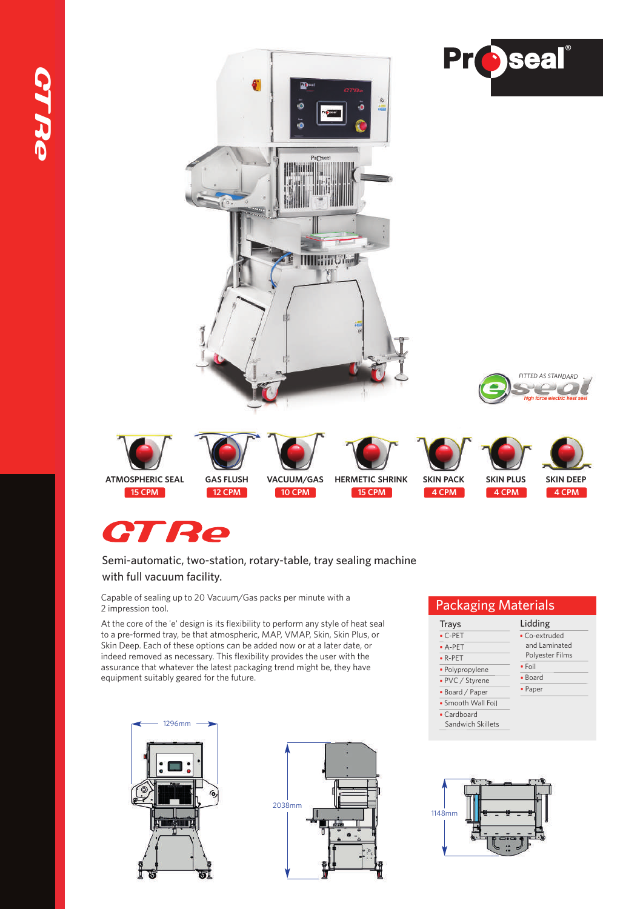

# **GTRe**

#### Semi-automatic, two-station, rotary-table, tray sealing machine with full vacuum facility.

Capable of sealing up to 20 Vacuum/Gas packs per minute with a 2 impression tool.

At the core of the 'e' design is its flexibility to perform any style of heat seal to a pre-formed tray, be that atmospheric, MAP, VMAP, Skin, Skin Plus, or Skin Deep. Each of these options can be added now or at a later date, or indeed removed as necessary. This flexibility provides the user with the assurance that whatever the latest packaging trend might be, they have equipment suitably geared for the future.





# Packaging Materials

| i uchuzilia mutchiulu |                 |  |  |  |
|-----------------------|-----------------|--|--|--|
| <b>Trays</b>          | Lidding         |  |  |  |
| $\cdot$ C-PET         | • Co-extruded   |  |  |  |
| $\bullet$ A-PET       | and Laminated   |  |  |  |
| $\cdot$ R-PET         | Polyester Films |  |  |  |
| · Polypropylene       | $\bullet$ Foil  |  |  |  |
| • PVC / Styrene       | • Board         |  |  |  |
| • Board / Paper       | • Paper         |  |  |  |
| • Smooth Wall Foil    |                 |  |  |  |
| • Cardboard           |                 |  |  |  |
| Sandwich Skillets     |                 |  |  |  |
|                       |                 |  |  |  |